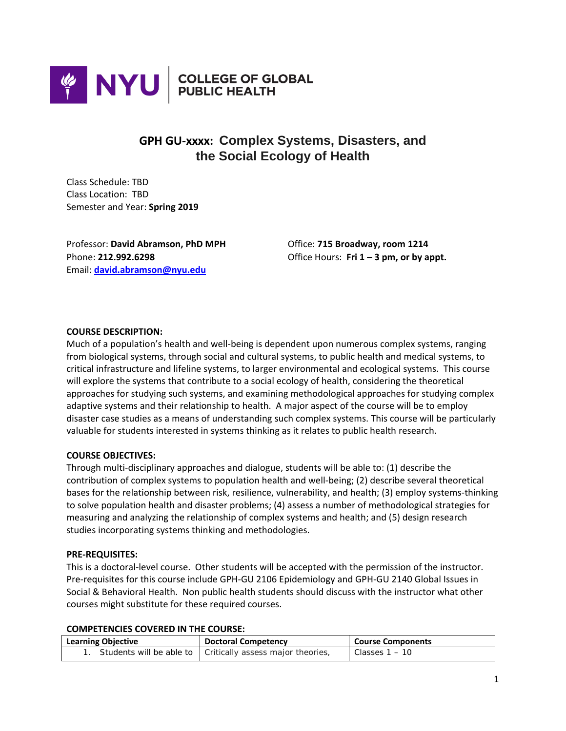

# **GPH GU-xxxx: Complex Systems, Disasters, and the Social Ecology of Health**

Class Schedule: TBD Class Location: TBD Semester and Year: **Spring 2019**

Professor: **David Abramson, PhD MPH** Office: **715 Broadway, room 1214** Phone: **212.992.6298** Office Hours: **Fri 1 – 3 pm, or by appt.** Email: **[david.abramson@nyu.edu](mailto:david.abramson@nyu.edu)**

#### **COURSE DESCRIPTION:**

Much of a population's health and well-being is dependent upon numerous complex systems, ranging from biological systems, through social and cultural systems, to public health and medical systems, to critical infrastructure and lifeline systems, to larger environmental and ecological systems. This course will explore the systems that contribute to a social ecology of health, considering the theoretical approaches for studying such systems, and examining methodological approaches for studying complex adaptive systems and their relationship to health. A major aspect of the course will be to employ disaster case studies as a means of understanding such complex systems. This course will be particularly valuable for students interested in systems thinking as it relates to public health research.

#### **COURSE OBJECTIVES:**

Through multi-disciplinary approaches and dialogue, students will be able to: (1) describe the contribution of complex systems to population health and well-being; (2) describe several theoretical bases for the relationship between risk, resilience, vulnerability, and health; (3) employ systems-thinking to solve population health and disaster problems; (4) assess a number of methodological strategies for measuring and analyzing the relationship of complex systems and health; and (5) design research studies incorporating systems thinking and methodologies.

#### **PRE-REQUISITES:**

This is a doctoral-level course. Other students will be accepted with the permission of the instructor. Pre-requisites for this course include GPH-GU 2106 Epidemiology and GPH-GU 2140 Global Issues in Social & Behavioral Health. Non public health students should discuss with the instructor what other courses might substitute for these required courses.

#### **COMPETENCIES COVERED IN THE COURSE:**

| <b>Learning Objective</b> | <b>Doctoral Competency</b>                                   | <b>Course Components</b> |
|---------------------------|--------------------------------------------------------------|--------------------------|
|                           | Students will be able to   Critically assess major theories, | Classes $1 - 10$         |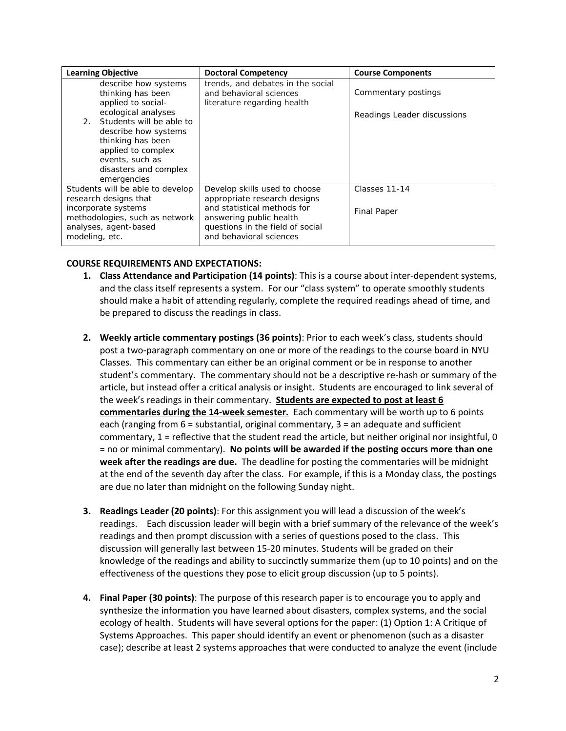| <b>Learning Objective</b>                                                                                                                                                                    | <b>Doctoral Competency</b>                                                                                                                                                             | <b>Course Components</b>            |
|----------------------------------------------------------------------------------------------------------------------------------------------------------------------------------------------|----------------------------------------------------------------------------------------------------------------------------------------------------------------------------------------|-------------------------------------|
| describe how systems<br>thinking has been<br>applied to social-                                                                                                                              | trends, and debates in the social<br>and behavioral sciences<br>literature regarding health                                                                                            | Commentary postings                 |
| ecological analyses<br>Students will be able to<br>$2^{\circ}$<br>describe how systems<br>thinking has been<br>applied to complex<br>events, such as<br>disasters and complex<br>emergencies |                                                                                                                                                                                        | Readings Leader discussions         |
| Students will be able to develop<br>research designs that<br>incorporate systems<br>methodologies, such as network<br>analyses, agent-based<br>modeling, etc.                                | Develop skills used to choose<br>appropriate research designs<br>and statistical methods for<br>answering public health<br>questions in the field of social<br>and behavioral sciences | Classes 11-14<br><b>Final Paper</b> |

#### **COURSE REQUIREMENTS AND EXPECTATIONS:**

- **1. Class Attendance and Participation (14 points)**: This is a course about inter-dependent systems, and the class itself represents a system. For our "class system" to operate smoothly students should make a habit of attending regularly, complete the required readings ahead of time, and be prepared to discuss the readings in class.
- **2. Weekly article commentary postings (36 points)**: Prior to each week's class, students should post a two-paragraph commentary on one or more of the readings to the course board in NYU Classes. This commentary can either be an original comment or be in response to another student's commentary. The commentary should not be a descriptive re-hash or summary of the article, but instead offer a critical analysis or insight. Students are encouraged to link several of the week's readings in their commentary. **Students are expected to post at least 6 commentaries during the 14-week semester.** Each commentary will be worth up to 6 points each (ranging from 6 = substantial, original commentary, 3 = an adequate and sufficient commentary, 1 = reflective that the student read the article, but neither original nor insightful, 0 = no or minimal commentary). **No points will be awarded if the posting occurs more than one week after the readings are due.** The deadline for posting the commentaries will be midnight at the end of the seventh day after the class. For example, if this is a Monday class, the postings are due no later than midnight on the following Sunday night.
- **3. Readings Leader (20 points)**: For this assignment you will lead a discussion of the week's readings. Each discussion leader will begin with a brief summary of the relevance of the week's readings and then prompt discussion with a series of questions posed to the class. This discussion will generally last between 15-20 minutes. Students will be graded on their knowledge of the readings and ability to succinctly summarize them (up to 10 points) and on the effectiveness of the questions they pose to elicit group discussion (up to 5 points).
- **4. Final Paper (30 points)**: The purpose of this research paper is to encourage you to apply and synthesize the information you have learned about disasters, complex systems, and the social ecology of health. Students will have several options for the paper: (1) Option 1: A Critique of Systems Approaches. This paper should identify an event or phenomenon (such as a disaster case); describe at least 2 systems approaches that were conducted to analyze the event (include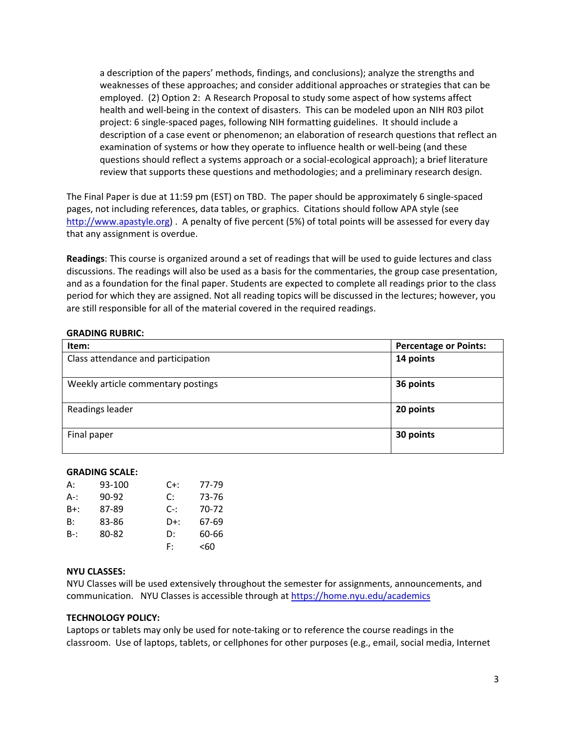a description of the papers' methods, findings, and conclusions); analyze the strengths and weaknesses of these approaches; and consider additional approaches or strategies that can be employed. (2) Option 2: A Research Proposal to study some aspect of how systems affect health and well-being in the context of disasters. This can be modeled upon an NIH R03 pilot project: 6 single-spaced pages, following NIH formatting guidelines. It should include a description of a case event or phenomenon; an elaboration of research questions that reflect an examination of systems or how they operate to influence health or well-being (and these questions should reflect a systems approach or a social-ecological approach); a brief literature review that supports these questions and methodologies; and a preliminary research design.

The Final Paper is due at 11:59 pm (EST) on TBD. The paper should be approximately 6 single-spaced pages, not including references, data tables, or graphics. Citations should follow APA style (see [http://www.apastyle.org\)](http://www.apastyle.org/). A penalty of five percent (5%) of total points will be assessed for every day that any assignment is overdue.

**Readings**: This course is organized around a set of readings that will be used to guide lectures and class discussions. The readings will also be used as a basis for the commentaries, the group case presentation, and as a foundation for the final paper. Students are expected to complete all readings prior to the class period for which they are assigned. Not all reading topics will be discussed in the lectures; however, you are still responsible for all of the material covered in the required readings.

#### **GRADING RUBRIC:**

| Item:                              | <b>Percentage or Points:</b> |
|------------------------------------|------------------------------|
| Class attendance and participation | 14 points                    |
| Weekly article commentary postings | 36 points                    |
| Readings leader                    | 20 points                    |
| Final paper                        | 30 points                    |

#### **GRADING SCALE:**

| А:  | 93-100 | $C+1$ | 77-79 |
|-----|--------|-------|-------|
| A-: | 90-92  | C:    | 73-76 |
| B+: | 87-89  | C-:   | 70-72 |
| B:  | 83-86  | D+:   | 67-69 |
| B-: | 80-82  | D:    | 60-66 |
|     |        | F.    | <60   |

#### **NYU CLASSES:**

NYU Classes will be used extensively throughout the semester for assignments, announcements, and communication. NYU Classes is accessible through at<https://home.nyu.edu/academics>

#### **TECHNOLOGY POLICY:**

Laptops or tablets may only be used for note-taking or to reference the course readings in the classroom. Use of laptops, tablets, or cellphones for other purposes (e.g., email, social media, Internet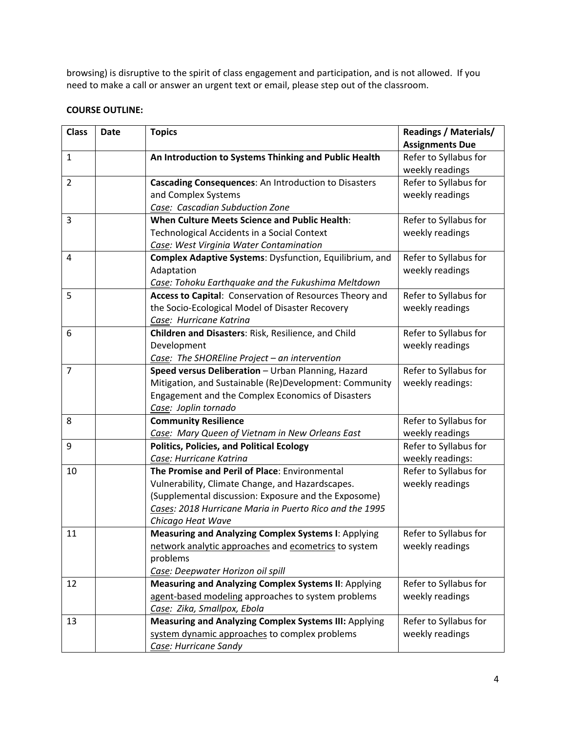browsing) is disruptive to the spirit of class engagement and participation, and is not allowed. If you need to make a call or answer an urgent text or email, please step out of the classroom.

#### **COURSE OUTLINE:**

| <b>Class</b>   | <b>Date</b> | <b>Topics</b>                                                | <b>Readings / Materials/</b> |
|----------------|-------------|--------------------------------------------------------------|------------------------------|
|                |             |                                                              | <b>Assignments Due</b>       |
| $\mathbf{1}$   |             | An Introduction to Systems Thinking and Public Health        | Refer to Syllabus for        |
|                |             |                                                              | weekly readings              |
| $\overline{2}$ |             | Cascading Consequences: An Introduction to Disasters         | Refer to Syllabus for        |
|                |             | and Complex Systems                                          | weekly readings              |
|                |             | Case: Cascadian Subduction Zone                              |                              |
| 3              |             | <b>When Culture Meets Science and Public Health:</b>         | Refer to Syllabus for        |
|                |             | Technological Accidents in a Social Context                  | weekly readings              |
|                |             | Case: West Virginia Water Contamination                      |                              |
| 4              |             | Complex Adaptive Systems: Dysfunction, Equilibrium, and      | Refer to Syllabus for        |
|                |             | Adaptation                                                   | weekly readings              |
|                |             | Case: Tohoku Earthquake and the Fukushima Meltdown           |                              |
| 5              |             | Access to Capital: Conservation of Resources Theory and      | Refer to Syllabus for        |
|                |             | the Socio-Ecological Model of Disaster Recovery              | weekly readings              |
|                |             | Case: Hurricane Katrina                                      |                              |
| 6              |             | Children and Disasters: Risk, Resilience, and Child          | Refer to Syllabus for        |
|                |             | Development                                                  | weekly readings              |
|                |             | Case: The SHOREline Project - an intervention                |                              |
| $\overline{7}$ |             | Speed versus Deliberation - Urban Planning, Hazard           | Refer to Syllabus for        |
|                |             | Mitigation, and Sustainable (Re)Development: Community       | weekly readings:             |
|                |             | Engagement and the Complex Economics of Disasters            |                              |
|                |             | Case: Joplin tornado                                         |                              |
| 8              |             | <b>Community Resilience</b>                                  | Refer to Syllabus for        |
|                |             | Case: Mary Queen of Vietnam in New Orleans East              | weekly readings              |
| 9              |             | <b>Politics, Policies, and Political Ecology</b>             | Refer to Syllabus for        |
|                |             | Case: Hurricane Katrina                                      | weekly readings:             |
| 10             |             | The Promise and Peril of Place: Environmental                | Refer to Syllabus for        |
|                |             | Vulnerability, Climate Change, and Hazardscapes.             | weekly readings              |
|                |             | (Supplemental discussion: Exposure and the Exposome)         |                              |
|                |             | Cases: 2018 Hurricane Maria in Puerto Rico and the 1995      |                              |
|                |             | Chicago Heat Wave                                            |                              |
| 11             |             | <b>Measuring and Analyzing Complex Systems I: Applying</b>   | Refer to Syllabus for        |
|                |             | network analytic approaches and ecometrics to system         | weekly readings              |
|                |             | problems                                                     |                              |
|                |             | Case: Deepwater Horizon oil spill                            |                              |
| 12             |             | <b>Measuring and Analyzing Complex Systems II: Applying</b>  | Refer to Syllabus for        |
|                |             | agent-based modeling approaches to system problems           | weekly readings              |
|                |             | Case: Zika, Smallpox, Ebola                                  |                              |
| 13             |             | <b>Measuring and Analyzing Complex Systems III: Applying</b> | Refer to Syllabus for        |
|                |             | system dynamic approaches to complex problems                | weekly readings              |
|                |             | Case: Hurricane Sandy                                        |                              |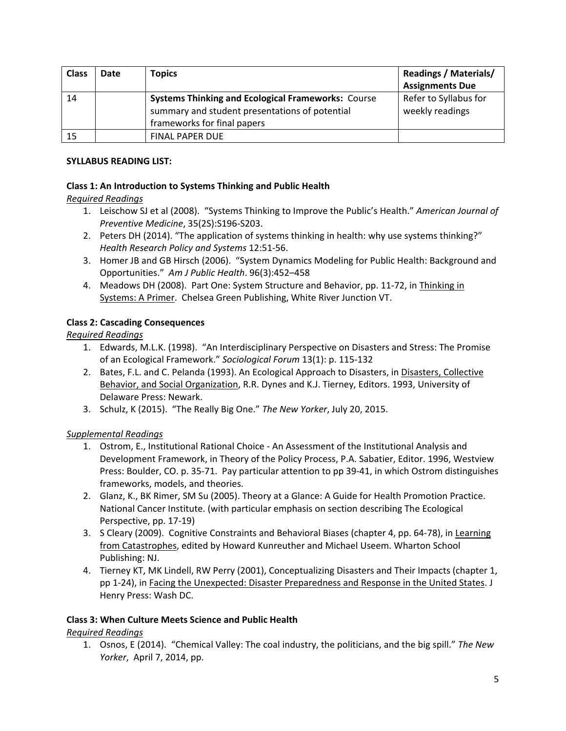| <b>Class</b> | Date | Topics                                                    | <b>Readings / Materials/</b><br><b>Assignments Due</b> |
|--------------|------|-----------------------------------------------------------|--------------------------------------------------------|
|              |      |                                                           |                                                        |
| 14           |      | <b>Systems Thinking and Ecological Frameworks: Course</b> | Refer to Syllabus for                                  |
|              |      | summary and student presentations of potential            | weekly readings                                        |
|              |      | frameworks for final papers                               |                                                        |
| 15           |      | <b>FINAL PAPER DUE</b>                                    |                                                        |

#### **SYLLABUS READING LIST:**

#### **Class 1: An Introduction to Systems Thinking and Public Health**

### *Required Readings*

- 1. Leischow SJ et al (2008). "Systems Thinking to Improve the Public's Health." *American Journal of Preventive Medicine*, 35(2S):S196-S203.
- 2. Peters DH (2014). "The application of systems thinking in health: why use systems thinking?" *Health Research Policy and Systems* 12:51-56.
- 3. Homer JB and GB Hirsch (2006). "System Dynamics Modeling for Public Health: Background and Opportunities." *Am J Public Health*. 96(3):452–458
- 4. Meadows DH (2008). Part One: System Structure and Behavior, pp. 11-72, in Thinking in Systems: A Primer. Chelsea Green Publishing, White River Junction VT.

### **Class 2: Cascading Consequences**

### *Required Readings*

- 1. Edwards, M.L.K. (1998). "An Interdisciplinary Perspective on Disasters and Stress: The Promise of an Ecological Framework." *Sociological Forum* 13(1): p. 115-132
- 2. Bates, F.L. and C. Pelanda (1993). An Ecological Approach to Disasters, in Disasters, Collective Behavior, and Social Organization, R.R. Dynes and K.J. Tierney, Editors. 1993, University of Delaware Press: Newark.
- 3. Schulz, K (2015). "The Really Big One." *The New Yorker*, July 20, 2015.

### *Supplemental Readings*

- 1. Ostrom, E., Institutional Rational Choice An Assessment of the Institutional Analysis and Development Framework, in Theory of the Policy Process, P.A. Sabatier, Editor. 1996, Westview Press: Boulder, CO. p. 35-71. Pay particular attention to pp 39-41, in which Ostrom distinguishes frameworks, models, and theories.
- 2. Glanz, K., BK Rimer, SM Su (2005). Theory at a Glance: A Guide for Health Promotion Practice. National Cancer Institute. (with particular emphasis on section describing The Ecological Perspective, pp. 17-19)
- 3. S Cleary (2009). Cognitive Constraints and Behavioral Biases (chapter 4, pp. 64-78), in Learning from Catastrophes, edited by Howard Kunreuther and Michael Useem. Wharton School Publishing: NJ.
- 4. Tierney KT, MK Lindell, RW Perry (2001), Conceptualizing Disasters and Their Impacts (chapter 1, pp 1-24), in Facing the Unexpected: Disaster Preparedness and Response in the United States. J Henry Press: Wash DC.

### **Class 3: When Culture Meets Science and Public Health**

### *Required Readings*

1. Osnos, E (2014). "Chemical Valley: The coal industry, the politicians, and the big spill." *The New Yorker*, April 7, 2014, pp.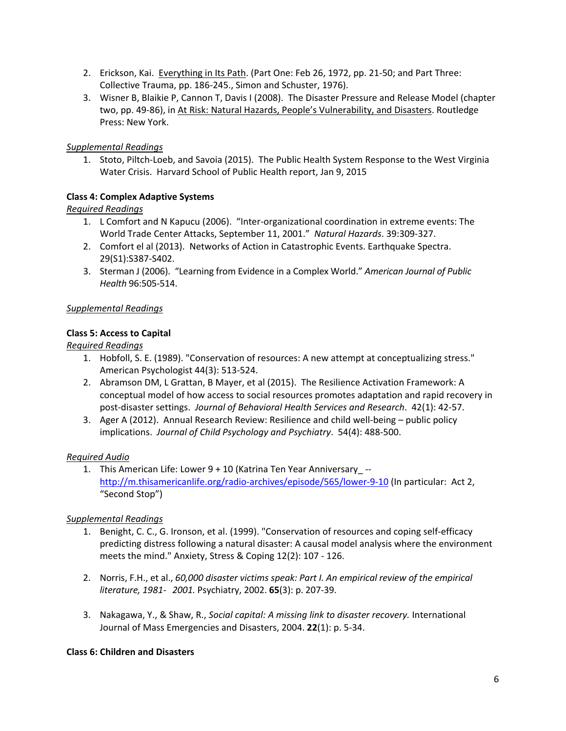- 2. Erickson, Kai. Everything in Its Path. (Part One: Feb 26, 1972, pp. 21-50; and Part Three: Collective Trauma, pp. 186-245., Simon and Schuster, 1976).
- 3. Wisner B, Blaikie P, Cannon T, Davis I (2008). The Disaster Pressure and Release Model (chapter two, pp. 49-86), in At Risk: Natural Hazards, People's Vulnerability, and Disasters. Routledge Press: New York.

## *Supplemental Readings*

1. Stoto, Piltch-Loeb, and Savoia (2015). The Public Health System Response to the West Virginia Water Crisis. Harvard School of Public Health report, Jan 9, 2015

## **Class 4: Complex Adaptive Systems**

## *Required Readings*

- 1. L Comfort and N Kapucu (2006). "Inter-organizational coordination in extreme events: The World Trade Center Attacks, September 11, 2001." *Natural Hazards*. 39:309-327.
- 2. Comfort el al (2013). Networks of Action in Catastrophic Events. Earthquake Spectra. 29(S1):S387-S402.
- 3. Sterman J (2006). "Learning from Evidence in a Complex World." *American Journal of Public Health* 96:505-514.

## *Supplemental Readings*

### **Class 5: Access to Capital**

*Required Readings*

- 1. Hobfoll, S. E. (1989). "Conservation of resources: A new attempt at conceptualizing stress." American Psychologist 44(3): 513-524.
- 2. Abramson DM, L Grattan, B Mayer, et al (2015). The Resilience Activation Framework: A conceptual model of how access to social resources promotes adaptation and rapid recovery in post-disaster settings. *Journal of Behavioral Health Services and Research*. 42(1): 42-57.
- 3. Ager A (2012). Annual Research Review: Resilience and child well-being public policy implications. *Journal of Child Psychology and Psychiatry*. 54(4): 488-500.

### *Required Audio*

1. This American Life: Lower 9 + 10 (Katrina Ten Year Anniversary\_ - <http://m.thisamericanlife.org/radio-archives/episode/565/lower-9-10> (In particular: Act 2, "Second Stop")

### *Supplemental Readings*

- 1. Benight, C. C., G. Ironson, et al. (1999). "Conservation of resources and coping self-efficacy predicting distress following a natural disaster: A causal model analysis where the environment meets the mind." Anxiety, Stress & Coping 12(2): 107 - 126.
- 2. Norris, F.H., et al., *60,000 disaster victims speak: Part I. An empirical review of the empirical literature, 1981- 2001.* Psychiatry, 2002. **65**(3): p. 207-39.
- 3. Nakagawa, Y., & Shaw, R., *Social capital: A missing link to disaster recovery.* International Journal of Mass Emergencies and Disasters, 2004. **22**(1): p. 5-34.

### **Class 6: Children and Disasters**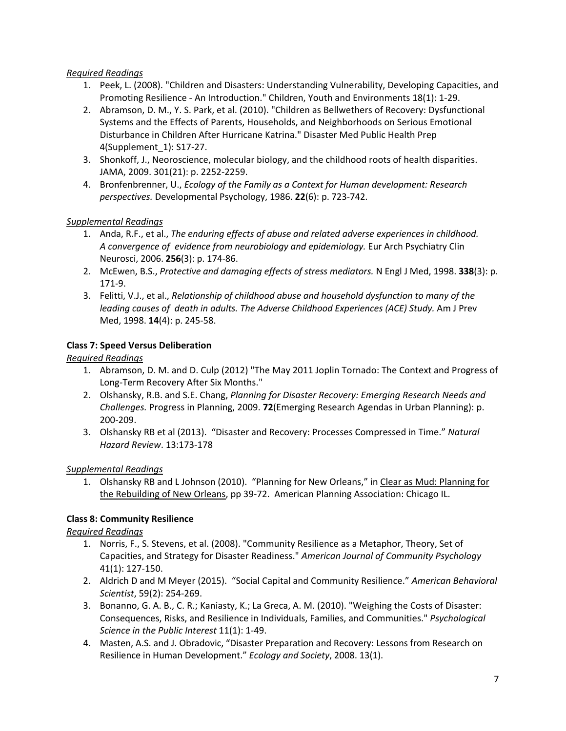### *Required Readings*

- 1. Peek, L. (2008). "Children and Disasters: Understanding Vulnerability, Developing Capacities, and Promoting Resilience - An Introduction." Children, Youth and Environments 18(1): 1-29.
- 2. Abramson, D. M., Y. S. Park, et al. (2010). "Children as Bellwethers of Recovery: Dysfunctional Systems and the Effects of Parents, Households, and Neighborhoods on Serious Emotional Disturbance in Children After Hurricane Katrina." Disaster Med Public Health Prep 4(Supplement\_1): S17-27.
- 3. Shonkoff, J., Neoroscience, molecular biology, and the childhood roots of health disparities. JAMA, 2009. 301(21): p. 2252-2259.
- 4. Bronfenbrenner, U., *Ecology of the Family as a Context for Human development: Research perspectives.* Developmental Psychology, 1986. **22**(6): p. 723-742.

#### *Supplemental Readings*

- 1. Anda, R.F., et al., *The enduring effects of abuse and related adverse experiences in childhood. A convergence of evidence from neurobiology and epidemiology.* Eur Arch Psychiatry Clin Neurosci, 2006. **256**(3): p. 174-86.
- 2. McEwen, B.S., *Protective and damaging effects of stress mediators.* N Engl J Med, 1998. **338**(3): p. 171-9.
- 3. Felitti, V.J., et al., *Relationship of childhood abuse and household dysfunction to many of the leading causes of death in adults. The Adverse Childhood Experiences (ACE) Study.* Am J Prev Med, 1998. **14**(4): p. 245-58.

### **Class 7: Speed Versus Deliberation**

### *Required Readings*

- 1. Abramson, D. M. and D. Culp (2012) "The May 2011 Joplin Tornado: The Context and Progress of Long-Term Recovery After Six Months."
- 2. Olshansky, R.B. and S.E. Chang, *Planning for Disaster Recovery: Emerging Research Needs and Challenges.* Progress in Planning, 2009. **72**(Emerging Research Agendas in Urban Planning): p. 200-209.
- 3. Olshansky RB et al (2013). "Disaster and Recovery: Processes Compressed in Time." *Natural Hazard Review*. 13:173-178

### *Supplemental Readings*

1. Olshansky RB and L Johnson (2010). "Planning for New Orleans," in Clear as Mud: Planning for the Rebuilding of New Orleans, pp 39-72. American Planning Association: Chicago IL.

### **Class 8: Community Resilience**

*Required Readings*

- 1. Norris, F., S. Stevens, et al. (2008). "Community Resilience as a Metaphor, Theory, Set of Capacities, and Strategy for Disaster Readiness." *American Journal of Community Psychology* 41(1): 127-150.
- 2. Aldrich D and M Meyer (2015). "Social Capital and Community Resilience." *American Behavioral Scientist*, 59(2): 254-269.
- 3. Bonanno, G. A. B., C. R.; Kaniasty, K.; La Greca, A. M. (2010). "Weighing the Costs of Disaster: Consequences, Risks, and Resilience in Individuals, Families, and Communities." *Psychological Science in the Public Interest* 11(1): 1-49.
- 4. Masten, A.S. and J. Obradovic, "Disaster Preparation and Recovery: Lessons from Research on Resilience in Human Development." *Ecology and Society*, 2008. 13(1).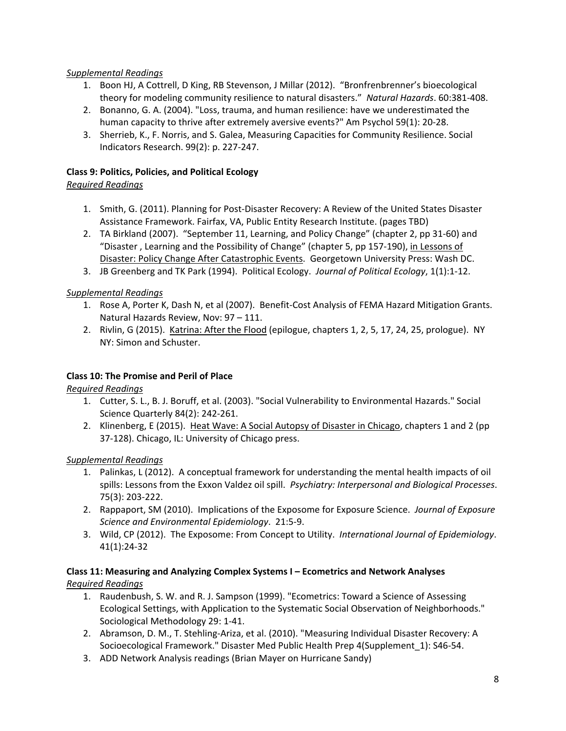### *Supplemental Readings*

- 1. Boon HJ, A Cottrell, D King, RB Stevenson, J Millar (2012). "Bronfrenbrenner's bioecological theory for modeling community resilience to natural disasters." *Natural Hazards*. 60:381-408.
- 2. Bonanno, G. A. (2004). "Loss, trauma, and human resilience: have we underestimated the human capacity to thrive after extremely aversive events?" Am Psychol 59(1): 20-28.
- 3. Sherrieb, K., F. Norris, and S. Galea, Measuring Capacities for Community Resilience. Social Indicators Research. 99(2): p. 227-247.

## **Class 9: Politics, Policies, and Political Ecology**

## *Required Readings*

- 1. Smith, G. (2011). Planning for Post-Disaster Recovery: A Review of the United States Disaster Assistance Framework. Fairfax, VA, Public Entity Research Institute. (pages TBD)
- 2. TA Birkland (2007). "September 11, Learning, and Policy Change" (chapter 2, pp 31-60) and "Disaster , Learning and the Possibility of Change" (chapter 5, pp 157-190), in Lessons of Disaster: Policy Change After Catastrophic Events. Georgetown University Press: Wash DC.
- 3. JB Greenberg and TK Park (1994). Political Ecology. *Journal of Political Ecology*, 1(1):1-12.

## *Supplemental Readings*

- 1. Rose A, Porter K, Dash N, et al (2007). Benefit-Cost Analysis of FEMA Hazard Mitigation Grants. Natural Hazards Review, Nov: 97 – 111.
- 2. Rivlin, G (2015). Katrina: After the Flood (epilogue, chapters 1, 2, 5, 17, 24, 25, prologue). NY NY: Simon and Schuster.

## **Class 10: The Promise and Peril of Place**

## *Required Readings*

- 1. Cutter, S. L., B. J. Boruff, et al. (2003). "Social Vulnerability to Environmental Hazards." Social Science Quarterly 84(2): 242-261.
- 2. Klinenberg, E (2015). Heat Wave: A Social Autopsy of Disaster in Chicago, chapters 1 and 2 (pp 37-128). Chicago, IL: University of Chicago press.

## *Supplemental Readings*

- 1. Palinkas, L (2012). A conceptual framework for understanding the mental health impacts of oil spills: Lessons from the Exxon Valdez oil spill. *Psychiatry: Interpersonal and Biological Processes*. 75(3): 203-222.
- 2. Rappaport, SM (2010). Implications of the Exposome for Exposure Science. *Journal of Exposure Science and Environmental Epidemiology*. 21:5-9.
- 3. Wild, CP (2012). The Exposome: From Concept to Utility. *International Journal of Epidemiology*. 41(1):24-32

## **Class 11: Measuring and Analyzing Complex Systems I – Ecometrics and Network Analyses** *Required Readings*

- 1. Raudenbush, S. W. and R. J. Sampson (1999). "Ecometrics: Toward a Science of Assessing Ecological Settings, with Application to the Systematic Social Observation of Neighborhoods." Sociological Methodology 29: 1-41.
- 2. Abramson, D. M., T. Stehling-Ariza, et al. (2010). "Measuring Individual Disaster Recovery: A Socioecological Framework." Disaster Med Public Health Prep 4(Supplement\_1): S46-54.
- 3. ADD Network Analysis readings (Brian Mayer on Hurricane Sandy)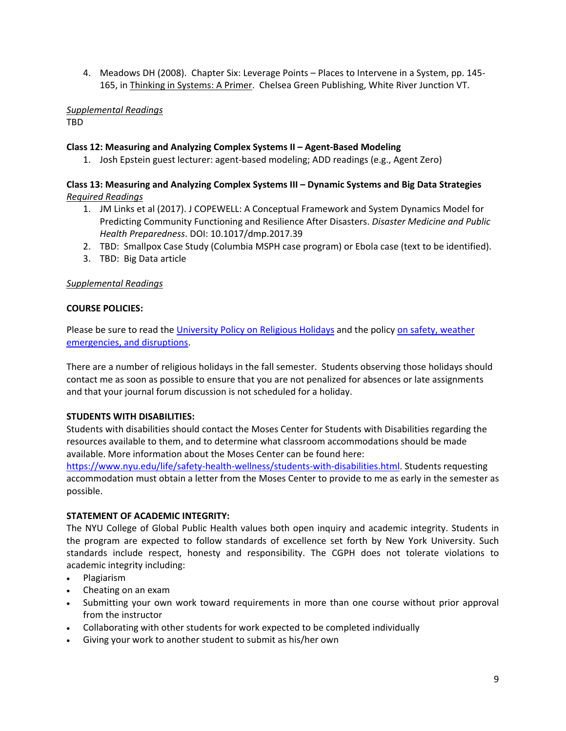4. Meadows DH (2008). Chapter Six: Leverage Points – Places to Intervene in a System, pp. 145- 165, in Thinking in Systems: A Primer. Chelsea Green Publishing, White River Junction VT.

#### *Supplemental Readings*

TBD

#### **Class 12: Measuring and Analyzing Complex Systems II – Agent-Based Modeling**

1. Josh Epstein guest lecturer: agent-based modeling; ADD readings (e.g., Agent Zero)

#### **Class 13: Measuring and Analyzing Complex Systems III – Dynamic Systems and Big Data Strategies** *Required Readings*

- 1. JM Links et al (2017). J COPEWELL: A Conceptual Framework and System Dynamics Model for Predicting Community Functioning and Resilience After Disasters. *Disaster Medicine and Public Health Preparedness*. DOI: 10.1017/dmp.2017.39
- 2. TBD: Smallpox Case Study (Columbia MSPH case program) or Ebola case (text to be identified).
- 3. TBD: Big Data article

#### *Supplemental Readings*

#### **COURSE POLICIES:**

Please be sure to read the [University Policy on Religious Holidays](http://www.nyu.edu/about/policies-guidelines-compliance/policies-and-guidelines/university-calendar-policy-on-religious-holidays.html) and the policy [on safety, weather](https://www.nyu.edu/about/policies-guidelines-compliance/policies-and-guidelines/safety-weather-emergencies-disruptions.html)  [emergencies, and disruptions.](https://www.nyu.edu/about/policies-guidelines-compliance/policies-and-guidelines/safety-weather-emergencies-disruptions.html)

There are a number of religious holidays in the fall semester. Students observing those holidays should contact me as soon as possible to ensure that you are not penalized for absences or late assignments and that your journal forum discussion is not scheduled for a holiday.

#### **STUDENTS WITH DISABILITIES:**

Students with disabilities should contact the Moses Center for Students with Disabilities regarding the resources available to them, and to determine what classroom accommodations should be made available. More information about the Moses Center can be found here:

[https://www.nyu.edu/life/safety-health-wellness/students-with-disabilities.html.](https://www.nyu.edu/life/safety-health-wellness/students-with-disabilities.html) Students requesting accommodation must obtain a letter from the Moses Center to provide to me as early in the semester as possible.

#### **STATEMENT OF ACADEMIC INTEGRITY:**

The NYU College of Global Public Health values both open inquiry and academic integrity. Students in the program are expected to follow standards of excellence set forth by New York University. Such standards include respect, honesty and responsibility. The CGPH does not tolerate violations to academic integrity including:

- Plagiarism
- Cheating on an exam
- Submitting your own work toward requirements in more than one course without prior approval from the instructor
- Collaborating with other students for work expected to be completed individually
- Giving your work to another student to submit as his/her own